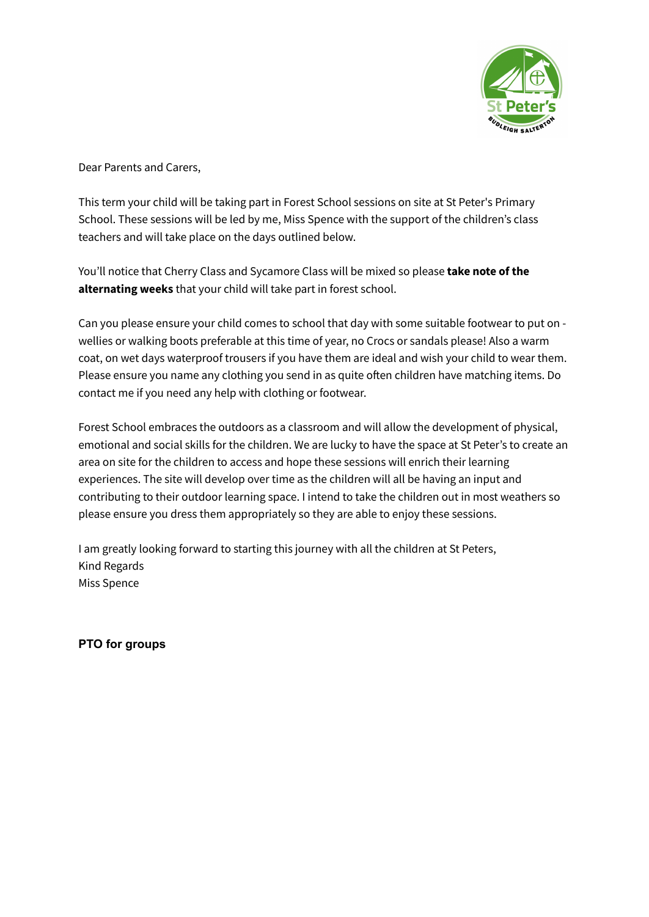

Dear Parents and Carers,

This term your child will be taking part in Forest School sessions on site at St Peter's Primary School. These sessions will be led by me, Miss Spence with the support of the children's class teachers and will take place on the days outlined below.

You'll notice that Cherry Class and Sycamore Class will be mixed so please **take note of the alternating weeks** that your child will take part in forest school.

Can you please ensure your child comes to school that day with some suitable footwear to put on wellies or walking boots preferable at this time of year, no Crocs or sandals please! Also a warm coat, on wet days waterproof trousers if you have them are ideal and wish your child to wear them. Please ensure you name any clothing you send in as quite often children have matching items. Do contact me if you need any help with clothing or footwear.

Forest School embraces the outdoors as a classroom and will allow the development of physical, emotional and social skills for the children. We are lucky to have the space at St Peter's to create an area on site for the children to access and hope these sessions will enrich their learning experiences. The site will develop over time as the children will all be having an input and contributing to their outdoor learning space. I intend to take the children out in most weathers so please ensure you dress them appropriately so they are able to enjoy these sessions.

I am greatly looking forward to starting this journey with all the children at St Peters, Kind Regards Miss Spence

**PTO for groups**